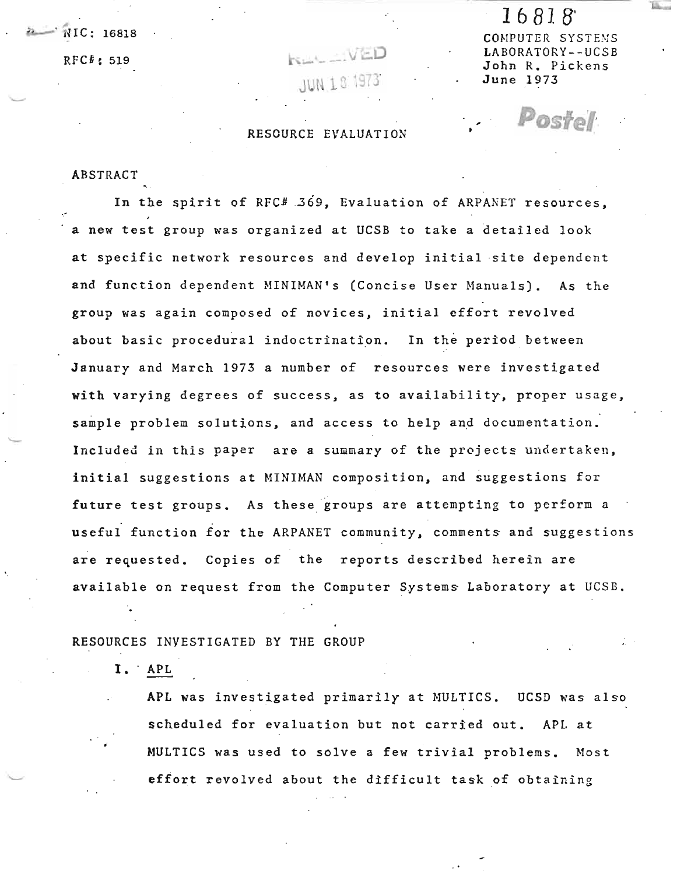# JUN 18 19

RESOURCE EVALUATION

 $\frac{16818}{10815}$  COMPUTER SYSTEMS RFC $^t$ ; 519  $\overline{L}$  and  $\overline{L}$  and  $\overline{L}$  and  $\overline{L}$  and  $\overline{L}$  and  $\overline{L}$  and  $\overline{L}$  and  $\overline{L}$  and  $\overline{L}$  and  $\overline{L}$  and  $\overline{L}$  and  $\overline{L}$  and  $\overline{L}$  and  $\overline{L}$  and  $\overline{L}$  and  $\overline{L}$  and John R. Pickens June 1973

ostol

1 6 81. B'

#### ABSTRACT

In the spirit of RFC# 369, Evaluation of ARPANET resources, a new test group was organized at UCSB to take a detailed look at specific network resources and develop initial site dependent and function dependent MINIMAN's (Concise User Manuals). As the group was again composed of novices, initial effort revolved about basic procedural indoctrination. In the period between January and March 1973 a number of resources were investigated with varying degrees of success, as to availability, proper usage, sample problem solutions, and access to help and documentation. Included in this paper are a summary of the projects undertaken, initial suggestions at MINIMAN composition, and suggestions for future test groups. As these groups are attempting to perform a useful function for the ARPANET community, comments and suggestions are requested. Copies of the reports described herein are available on request from the Computer Systems Laboratory at UCSB.

#### RESOURCES INVESTIGATED BY THE GROUP

I. APL

APL was investigated primarily at MULTICS. UCSD was also scheduled for evaluation but not carried out. APL at MULTICS was used to solve a few trivial problems. Most eftort revolved about the difficult task of obtaining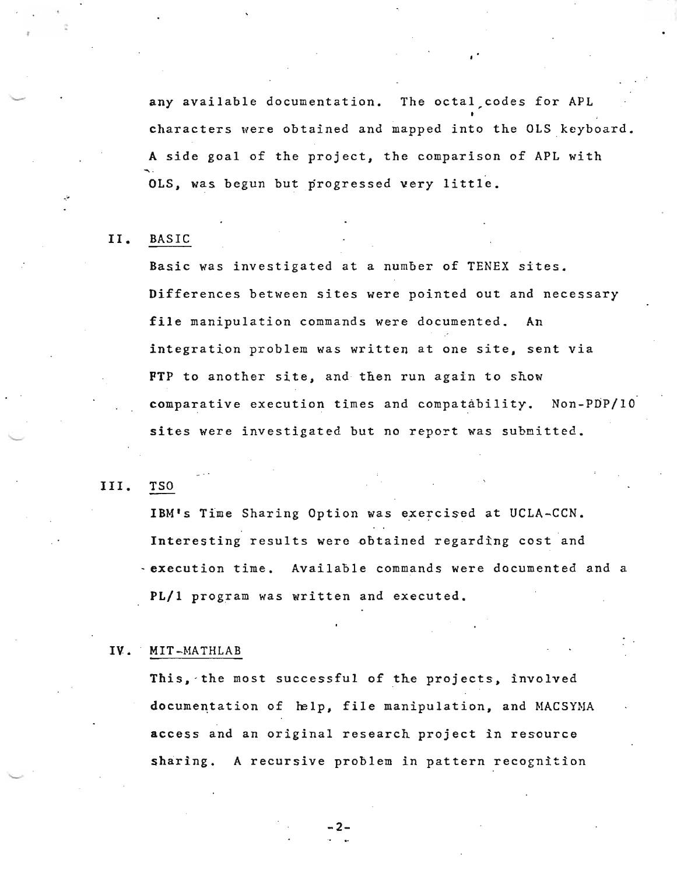any available documentation. The octal codes for APL characters were obtained and mapped into the OLS keyboard. A side goal of the project, the comparison of APL with OLS, was begun but progressed very little.

#### II. BASIC

Basic was investigated at a number of TENEX sites. Differences between sites were pointed out and necessary file manipulation commands were documented. An integration problem was written at one site, sent via FTP to another site, and then run again to show comparative execution times and compatability. Non-PDP/IO sites were investigated but no report was submitted.

#### III. TSO

IBM's Time Sharing Option was exercised at UCLA-CCN. Interesting results were obtained regarding cost and - execution time. Available commands were documented and a PL/l program was written and executed.

#### IV. MIT-MATHLAB

This, the most successful of the projects, involved documentation of  $~he1p$ , file manipulation, and MACSYMA access and an original research project in resource sharing. A recursive problem in pattern recognition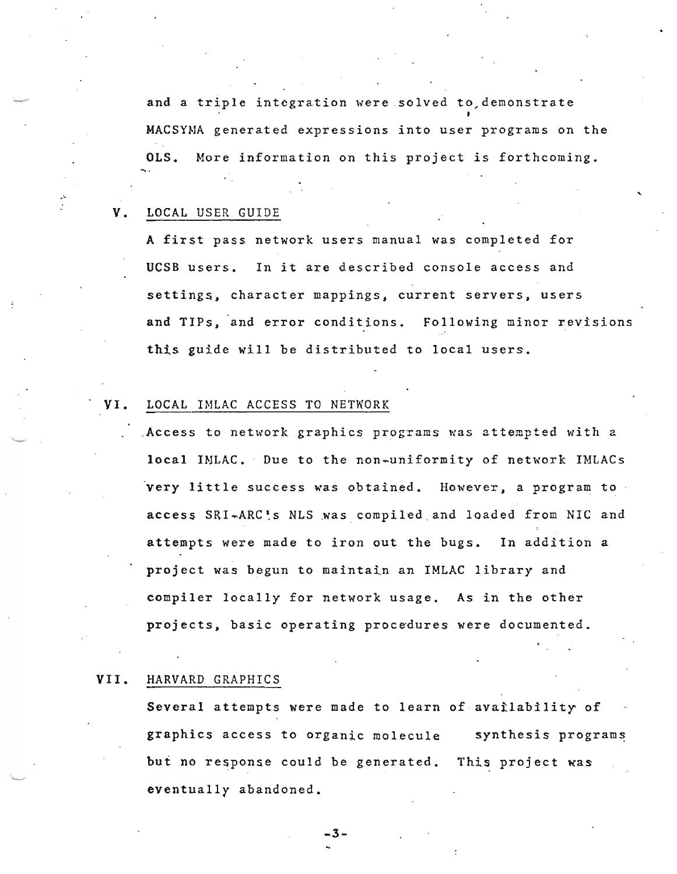and a triple integration were solved to demonstrate MACSYNA generated expressions into user programs on the OLS. More information on this project *is* forthcoming.

#### V. LOCAL USER GUIDE

A first pass network users manual was completed for UCSB users. In it are described console access and settings, character mappings, current servers, users and TIPs, and error conditions. Following minor revisions this guide will be distributed to local users.

 $\ddot{\phantom{0}}$ 

#### VI. LOCAL IMLAC ACCESS TO NETWORK

.Access to network graphics programs was attempted with a local INLAC. Due to the non-uniformity of network IMLACs very little success was obtained. However, a program to . access SRI-ARC's NLS was compiled and loaded from NIC and attempts were made to iron out the bugs. In addition a project was begun to maintain an IMLAC library and compiler locally for network usage. As in the other projects, basic operating procedures were documented.

#### VII. HARVARD GRAPHICS

Several attempts were made to learn of availability of graphics access to organic molecule but no response could be generated. This project was eventually abandoned. synthesis programs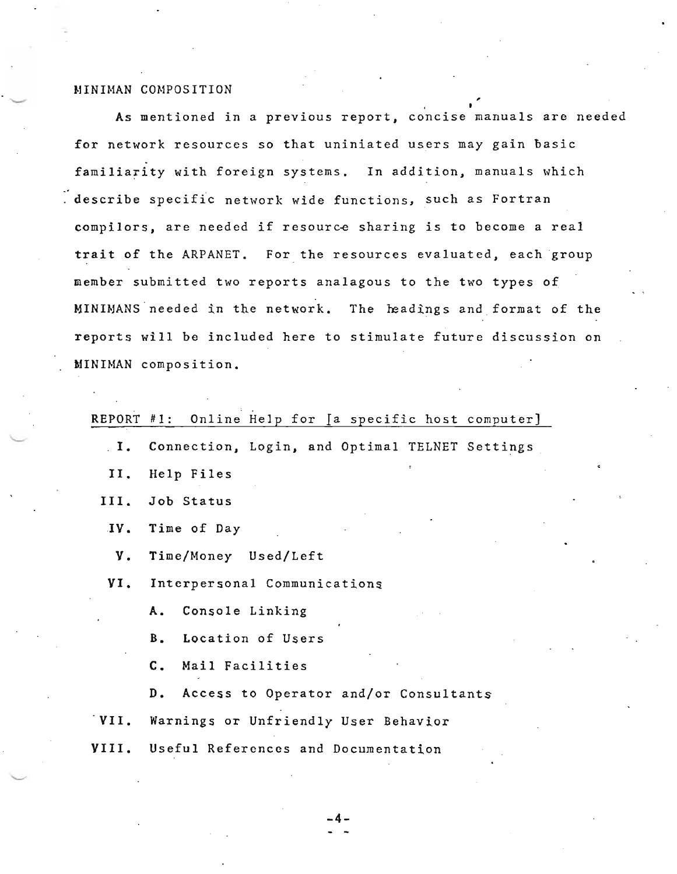#### MINIMAN COMPOSITION

As mentioned in a previous report, concise manuals are needed for network resources so that uniniated users may gain basic familiarity with foreign systems. In addition, manuals which describe specific network wide functions, such as Fortran compilors, are needed if resource sharing is to become a real trait of the ARPANET. For the resources evaluated, each group member submitted two reports analagous to the two types of MINIMANS needed in the network. The headings and format of the reports will be included here to stimulate future discussion on MINIMAN composition.

• I

### REPORT #1: Online Help for [a specific host computer]

- I. Connection, Login, and Optimal TELNET Settings
- II. Help Files
- III. Job Status
- IV. Time of Day
- **V.** Time/Money Used/Left
- VI. Interpersonal Communications
	- A. Console Linking
	- B. Location of Users
	- C. Mail Facilities
	- D. Access to Operator and/or Consultants
- VII. Warnings or Unfriendly User Behavior
- VIII. Useful References and Documentation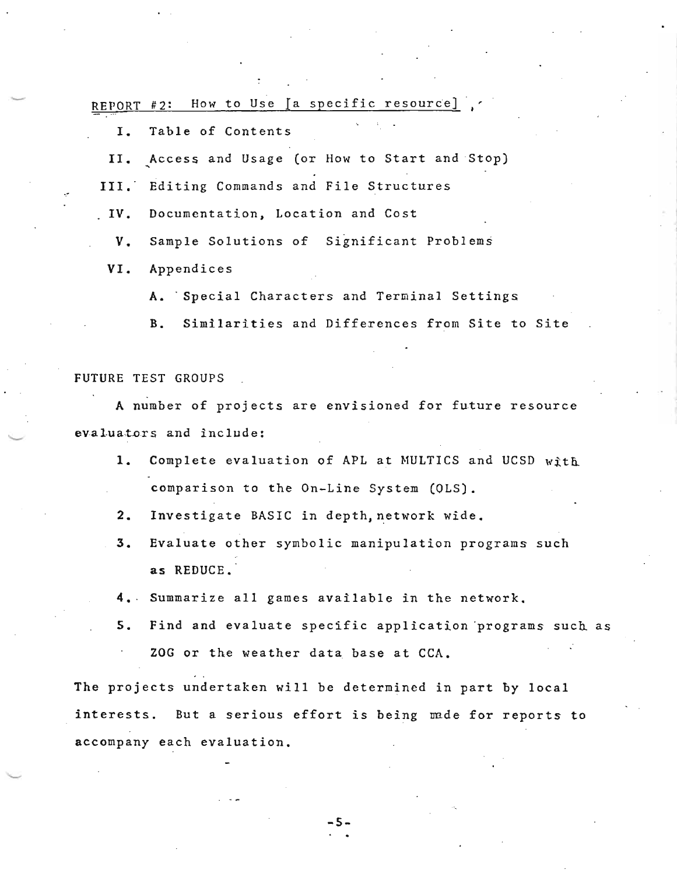REPORT #2: How to Use  $[a]$  specific resource]

I. Table of Contents

II. Access and Usage (or How to Start and Stop)

III. Editing Commands and File Structures

IV. Documentation, Location and Cost

V. Sample Solutions of Significant Problems

VI. Appendices

A. Special Characters and Terminal Settings

B. Similarities and Differences from Site to Site

FUTURE TEST GROUPS

A number of projects are envisioned for future resource evaluators and include:

- 1. Complete evaluation of APL at MULTICS and UCSD with comparison to the On-Line System (OLS).
- 2. Investigate BASIC in depth, network wide.
- 3. Evaluate other symbolic manipulation programs such as REDUCE.
- 4.· Summarize all games available in the network.
- 5. Find and evaluate specific application programs such as ZOG or the weather data base at CCA.

The projects undertaken will be determined in part by local interests. But a serious effort is being made for reports to accompany each evaluation.